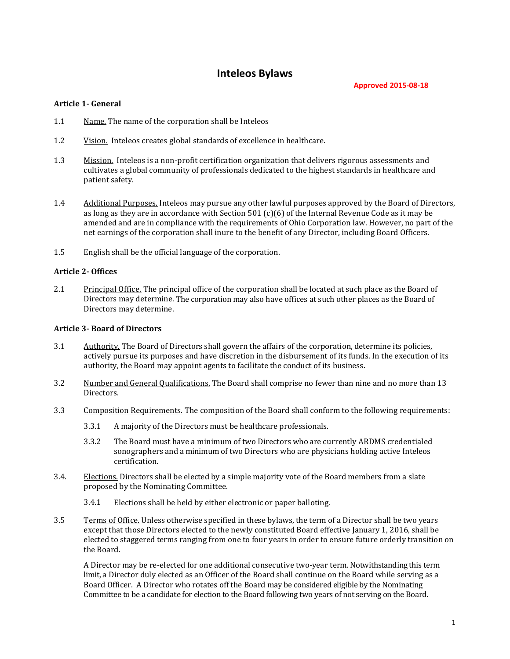# **Inteleos Bylaws**

**Approved 2015-08-18**

### **Article 1- General**

- 1.1 Name. The name of the corporation shall be Inteleos
- 1.2 Vision. Inteleos creates global standards of excellence in healthcare.
- 1.3 Mission. Inteleos is a non-profit certification organization that delivers rigorous assessments and cultivates a global community of professionals dedicated to the highest standards in healthcare and patient safety.
- 1.4 Additional Purposes. Inteleos may pursue any other lawful purposes approved by the Board of Directors, as long as they are in accordance with Section 501 (c)(6) of the Internal Revenue Code as it may be amended and are in compliance with the requirements of Ohio Corporation law. However, no part of the net earnings of the corporation shall inure to the benefit of any Director, including Board Officers.
- 1.5 English shall be the official language of the corporation.

### **Article 2- Offices**

2.1 Principal Office. The principal office of the corporation shall be located at such place as the Board of Directors may determine. The corporation may also have offices at such other places as the Board of Directors may determine.

### **Article 3- Board of Directors**

- 3.1 Authority. The Board of Directors shall govern the affairs of the corporation, determine its policies, actively pursue its purposes and have discretion in the disbursement of its funds. In the execution of its authority, the Board may appoint agents to facilitate the conduct of its business.
- 3.2 Number and General Qualifications. The Board shall comprise no fewer than nine and no more than 13 Directors.
- 3.3 Composition Requirements. The composition of the Board shall conform to the following requirements:
	- 3.3.1 A majority of the Directors must be healthcare professionals.
	- 3.3.2 The Board must have a minimum of two Directors who are currently ARDMS credentialed sonographers and a minimum of two Directors who are physicians holding active Inteleos certification.
- 3.4. Elections. Directors shall be elected by a simple majority vote of the Board members from a slate proposed by the Nominating Committee.
	- 3.4.1 Elections shall be held by either electronic or paper balloting.
- 3.5 Terms of Office. Unless otherwise specified in these bylaws, the term of a Director shall be two years except that those Directors elected to the newly constituted Board effective January 1, 2016, shall be elected to staggered terms ranging from one to four years in order to ensure future orderly transition on the Board.

A Director may be re-elected for one additional consecutive two-year term. Notwithstanding this term limit, a Director duly elected as an Officer of the Board shall continue on the Board while serving as a Board Officer. A Director who rotates off the Board may be considered eligible by the Nominating Committee to be a candidate for election to the Board following two years of not serving on the Board.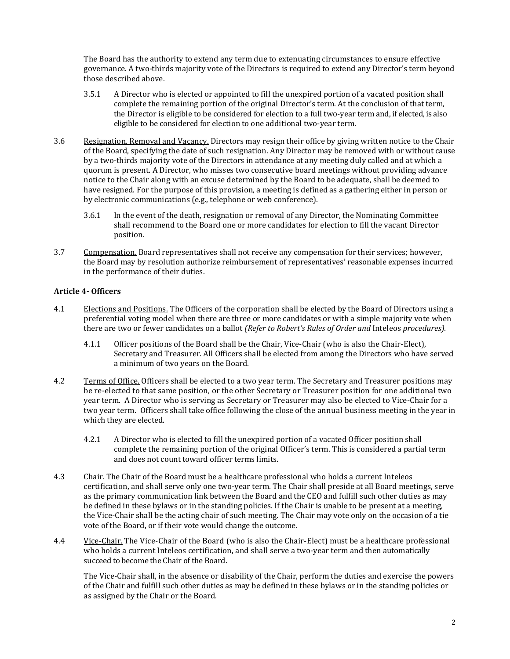The Board has the authority to extend any term due to extenuating circumstances to ensure effective governance. A two-thirds majority vote of the Directors is required to extend any Director's term beyond those described above.

- 3.5.1 A Director who is elected or appointed to fill the unexpired portion of a vacated position shall complete the remaining portion of the original Director's term. At the conclusion of that term, the Director is eligible to be considered for election to a full two-year term and, if elected, is also eligible to be considered for election to one additional two-year term.
- 3.6 Resignation, Removal and Vacancy. Directors may resign their office by giving written notice to the Chair of the Board, specifying the date of such resignation. Any Director may be removed with or without cause by a two-thirds majority vote of the Directors in attendance at any meeting duly called and at which a quorum is present. A Director, who misses two consecutive board meetings without providing advance notice to the Chair along with an excuse determined by the Board to be adequate, shall be deemed to have resigned. For the purpose of this provision, a meeting is defined as a gathering either in person or by electronic communications (e.g., telephone or web conference).
	- 3.6.1 In the event of the death, resignation or removal of any Director, the Nominating Committee shall recommend to the Board one or more candidates for election to fill the vacant Director position.
- 3.7 Compensation. Board representatives shall not receive any compensation for their services; however, the Board may by resolution authorize reimbursement of representatives' reasonable expenses incurred in the performance of their duties.

## **Article 4- Officers**

- 4.1 Elections and Positions. The Officers of the corporation shall be elected by the Board of Directors using a preferential voting model when there are three or more candidates or with a simple majority vote when there are two or fewer candidates on a ballot *(Refer to Robert's Rules of Order and* Inteleos *procedures).*
	- 4.1.1 Officer positions of the Board shall be the Chair, Vice-Chair (who is also the Chair-Elect), Secretary and Treasurer. All Officers shall be elected from among the Directors who have served a minimum of two years on the Board.
- 4.2 Terms of Office. Officers shall be elected to a two year term. The Secretary and Treasurer positions may be re-elected to that same position, or the other Secretary or Treasurer position for one additional two year term. A Director who is serving as Secretary or Treasurer may also be elected to Vice-Chair for a two year term. Officers shall take office following the close of the annual business meeting in the year in which they are elected.
	- 4.2.1 A Director who is elected to fill the unexpired portion of a vacated Officer position shall complete the remaining portion of the original Officer's term. This is considered a partial term and does not count toward officer terms limits.
- 4.3 Chair. The Chair of the Board must be a healthcare professional who holds a current Inteleos certification, and shall serve only one two-year term. The Chair shall preside at all Board meetings, serve as the primary communication link between the Board and the CEO and fulfill such other duties as may be defined in these bylaws or in the standing policies. If the Chair is unable to be present at a meeting, the Vice-Chair shall be the acting chair of such meeting. The Chair may vote only on the occasion of a tie vote of the Board, or if their vote would change the outcome.
- 4.4 Vice-Chair. The Vice-Chair of the Board (who is also the Chair-Elect) must be a healthcare professional who holds a current Inteleos certification, and shall serve a two-year term and then automatically succeed to become the Chair of the Board.

The Vice-Chair shall, in the absence or disability of the Chair, perform the duties and exercise the powers of the Chair and fulfill such other duties as may be defined in these bylaws or in the standing policies or as assigned by the Chair or the Board.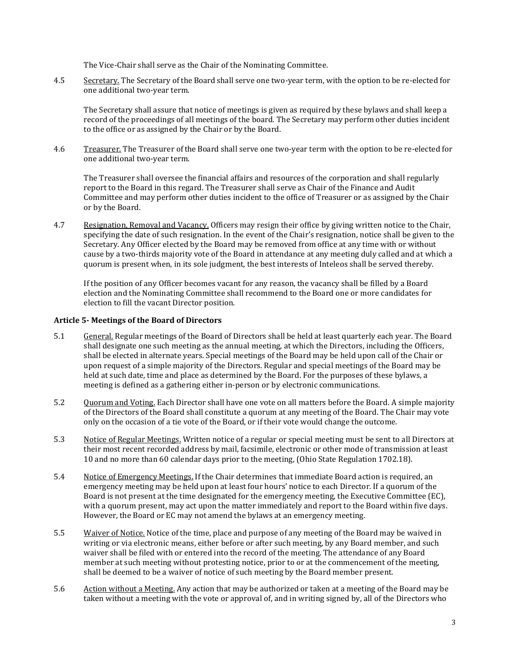The Vice-Chair shall serve as the Chair of the Nominating Committee.

4.5 Secretary. The Secretary of the Board shall serve one two-year term, with the option to be re-elected for one additional two-year term.

The Secretary shall assure that notice of meetings is given as required by these bylaws and shall keep a record of the proceedings of all meetings of the board. The Secretary may perform other duties incident to the office or as assigned by the Chair or by the Board.

4.6 Treasurer. The Treasurer of the Board shall serve one two-year term with the option to be re-elected for one additional two-year term.

The Treasurer shall oversee the financial affairs and resources of the corporation and shall regularly report to the Board in this regard. The Treasurer shall serve as Chair of the Finance and Audit Committee and may perform other duties incident to the office of Treasurer or as assigned by the Chair or by the Board.

4.7 Resignation, Removal and Vacancy. Officers may resign their office by giving written notice to the Chair, specifying the date of such resignation. In the event of the Chair's resignation, notice shall be given to the Secretary. Any Officer elected by the Board may be removed from office at any time with or without cause by a two-thirds majority vote of the Board in attendance at any meeting duly called and at which a quorum is present when, in its sole judgment, the best interests of Inteleos shall be served thereby.

If the position of any Officer becomes vacant for any reason, the vacancy shall be filled by a Board election and the Nominating Committee shall recommend to the Board one or more candidates for election to fill the vacant Director position.

### **Article 5- Meetings of the Board of Directors**

- 5.1 General. Regular meetings of the Board of Directors shall be held at least quarterly each year. The Board shall designate one such meeting as the annual meeting, at which the Directors, including the Officers, shall be elected in alternate years. Special meetings of the Board may be held upon call of the Chair or upon request of a simple majority of the Directors. Regular and special meetings of the Board may be held at such date, time and place as determined by the Board. For the purposes of these bylaws, a meeting is defined as a gathering either in-person or by electronic communications.
- 5.2 Quorum and Voting. Each Director shall have one vote on all matters before the Board. A simple majority of the Directors of the Board shall constitute a quorum at any meeting of the Board. The Chair may vote only on the occasion of a tie vote of the Board, or if their vote would change the outcome.
- 5.3 Notice of Regular Meetings. Written notice of a regular or special meeting must be sent to all Directors at their most recent recorded address by mail, facsimile, electronic or other mode of transmission at least 10 and no more than 60 calendar days prior to the meeting, (Ohio State Regulation 1702.18).
- 5.4 Notice of Emergency Meetings. If the Chair determines that immediate Board action is required, an emergency meeting may be held upon at least four hours' notice to each Director. If a quorum of the Board is not present at the time designated for the emergency meeting, the Executive Committee (EC), with a quorum present, may act upon the matter immediately and report to the Board within five days. However, the Board or EC may not amend the bylaws at an emergency meeting.
- 5.5 Waiver of Notice. Notice of the time, place and purpose of any meeting of the Board may be waived in writing or via electronic means, either before or after such meeting, by any Board member, and such waiver shall be filed with or entered into the record of the meeting. The attendance of any Board member at such meeting without protesting notice, prior to or at the commencement of the meeting, shall be deemed to be a waiver of notice of such meeting by the Board member present.
- 5.6 Action without a Meeting. Any action that may be authorized or taken at a meeting of the Board may be taken without a meeting with the vote or approval of, and in writing signed by, all of the Directors who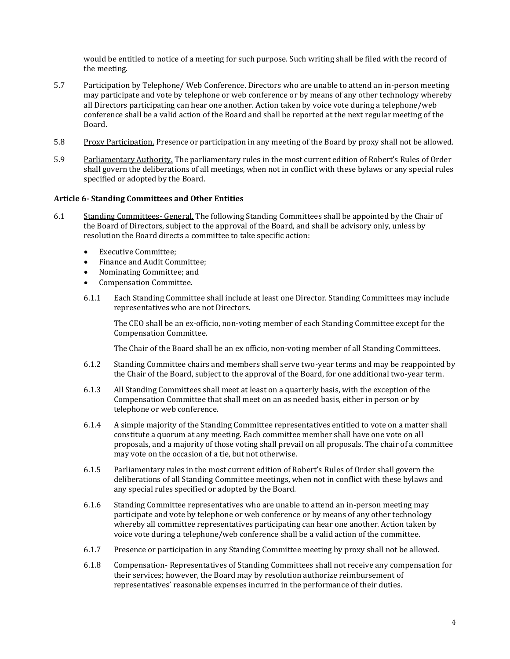would be entitled to notice of a meeting for such purpose. Such writing shall be filed with the record of the meeting.

- 5.7 Participation by Telephone/ Web Conference. Directors who are unable to attend an in-person meeting may participate and vote by telephone or web conference or by means of any other technology whereby all Directors participating can hear one another. Action taken by voice vote during a telephone/web conference shall be a valid action of the Board and shall be reported at the next regular meeting of the Board.
- 5.8 Proxy Participation. Presence or participation in any meeting of the Board by proxy shall not be allowed.
- 5.9 Parliamentary Authority. The parliamentary rules in the most current edition of Robert's Rules of Order shall govern the deliberations of all meetings, when not in conflict with these bylaws or any special rules specified or adopted by the Board.

#### **Article 6- Standing Committees and Other Entities**

- 6.1 Standing Committees- General. The following Standing Committees shall be appointed by the Chair of the Board of Directors, subject to the approval of the Board, and shall be advisory only, unless by resolution the Board directs a committee to take specific action:
	- Executive Committee;
	- Finance and Audit Committee;
	- Nominating Committee; and
	- Compensation Committee.
	- 6.1.1 Each Standing Committee shall include at least one Director. Standing Committees may include representatives who are not Directors.

The CEO shall be an ex-officio, non-voting member of each Standing Committee except for the Compensation Committee.

The Chair of the Board shall be an ex officio, non-voting member of all Standing Committees.

- 6.1.2 Standing Committee chairs and members shall serve two-year terms and may be reappointed by the Chair of the Board, subject to the approval of the Board, for one additional two-year term.
- 6.1.3 All Standing Committees shall meet at least on a quarterly basis, with the exception of the Compensation Committee that shall meet on an as needed basis, either in person or by telephone or web conference.
- 6.1.4 A simple majority of the Standing Committee representatives entitled to vote on a matter shall constitute a quorum at any meeting. Each committee member shall have one vote on all proposals, and a majority of those voting shall prevail on all proposals. The chair of a committee may vote on the occasion of a tie, but not otherwise.
- 6.1.5 Parliamentary rules in the most current edition of Robert's Rules of Order shall govern the deliberations of all Standing Committee meetings, when not in conflict with these bylaws and any special rules specified or adopted by the Board.
- 6.1.6 Standing Committee representatives who are unable to attend an in-person meeting may participate and vote by telephone or web conference or by means of any other technology whereby all committee representatives participating can hear one another. Action taken by voice vote during a telephone/web conference shall be a valid action of the committee.
- 6.1.7 Presence or participation in any Standing Committee meeting by proxy shall not be allowed.
- 6.1.8 Compensation- Representatives of Standing Committees shall not receive any compensation for their services; however, the Board may by resolution authorize reimbursement of representatives' reasonable expenses incurred in the performance of their duties.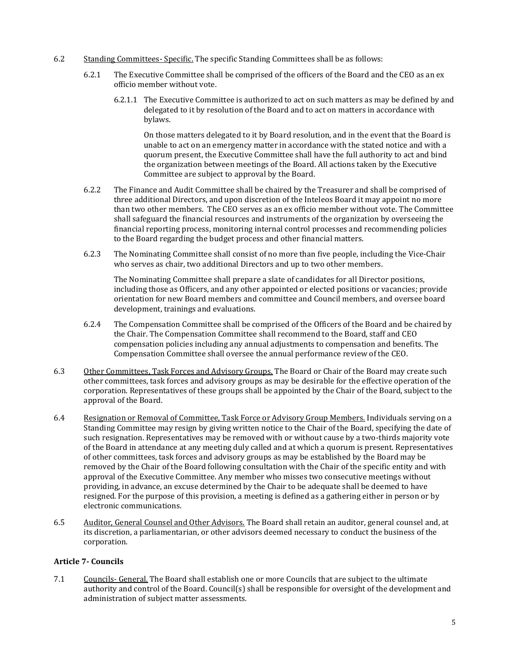- 6.2 Standing Committees- Specific. The specific Standing Committees shall be as follows:
	- 6.2.1 The Executive Committee shall be comprised of the officers of the Board and the CEO as an ex officio member without vote.
		- 6.2.1.1 The Executive Committee is authorized to act on such matters as may be defined by and delegated to it by resolution of the Board and to act on matters in accordance with bylaws.

On those matters delegated to it by Board resolution, and in the event that the Board is unable to act on an emergency matter in accordance with the stated notice and with a quorum present, the Executive Committee shall have the full authority to act and bind the organization between meetings of the Board. All actions taken by the Executive Committee are subject to approval by the Board.

- 6.2.2 The Finance and Audit Committee shall be chaired by the Treasurer and shall be comprised of three additional Directors, and upon discretion of the Inteleos Board it may appoint no more than two other members. The CEO serves as an ex officio member without vote. The Committee shall safeguard the financial resources and instruments of the organization by overseeing the financial reporting process, monitoring internal control processes and recommending policies to the Board regarding the budget process and other financial matters.
- 6.2.3 The Nominating Committee shall consist of no more than five people, including the Vice-Chair who serves as chair, two additional Directors and up to two other members.

The Nominating Committee shall prepare a slate of candidates for all Director positions, including those as Officers, and any other appointed or elected positions or vacancies; provide orientation for new Board members and committee and Council members, and oversee board development, trainings and evaluations.

- 6.2.4 The Compensation Committee shall be comprised of the Officers of the Board and be chaired by the Chair. The Compensation Committee shall recommend to the Board, staff and CEO compensation policies including any annual adjustments to compensation and benefits. The Compensation Committee shall oversee the annual performance review of the CEO.
- 6.3 Other Committees, Task Forces and Advisory Groups. The Board or Chair of the Board may create such other committees, task forces and advisory groups as may be desirable for the effective operation of the corporation. Representatives of these groups shall be appointed by the Chair of the Board, subject to the approval of the Board.
- 6.4 Resignation or Removal of Committee, Task Force or Advisory Group Members. Individuals serving on a Standing Committee may resign by giving written notice to the Chair of the Board, specifying the date of such resignation. Representatives may be removed with or without cause by a two-thirds majority vote of the Board in attendance at any meeting duly called and at which a quorum is present. Representatives of other committees, task forces and advisory groups as may be established by the Board may be removed by the Chair of the Board following consultation with the Chair of the specific entity and with approval of the Executive Committee. Any member who misses two consecutive meetings without providing, in advance, an excuse determined by the Chair to be adequate shall be deemed to have resigned. For the purpose of this provision, a meeting is defined as a gathering either in person or by electronic communications.
- 6.5 Auditor, General Counsel and Other Advisors. The Board shall retain an auditor, general counsel and, at its discretion, a parliamentarian, or other advisors deemed necessary to conduct the business of the corporation.

## **Article 7- Councils**

7.1 Councils- General. The Board shall establish one or more Councils that are subject to the ultimate authority and control of the Board. Council(s) shall be responsible for oversight of the development and administration of subject matter assessments.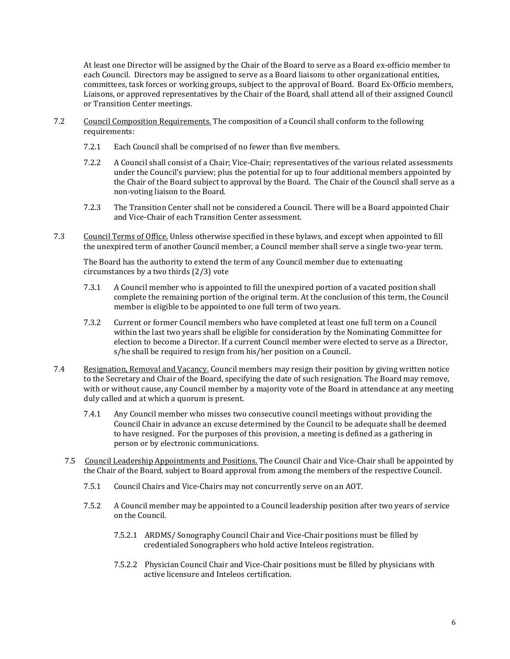At least one Director will be assigned by the Chair of the Board to serve as a Board ex-officio member to each Council. Directors may be assigned to serve as a Board liaisons to other organizational entities, committees, task forces or working groups, subject to the approval of Board. Board Ex-Officio members, Liaisons, or approved representatives by the Chair of the Board, shall attend all of their assigned Council or Transition Center meetings.

- 7.2 Council Composition Requirements. The composition of a Council shall conform to the following requirements:
	- 7.2.1 Each Council shall be comprised of no fewer than five members.
	- 7.2.2 A Council shall consist of a Chair; Vice-Chair; representatives of the various related assessments under the Council's purview; plus the potential for up to four additional members appointed by the Chair of the Board subject to approval by the Board. The Chair of the Council shall serve as a non-voting liaison to the Board.
	- 7.2.3 The Transition Center shall not be considered a Council. There will be a Board appointed Chair and Vice-Chair of each Transition Center assessment.
- 7.3 Council Terms of Office. Unless otherwise specified in these bylaws, and except when appointed to fill the unexpired term of another Council member, a Council member shall serve a single two-year term.

The Board has the authority to extend the term of any Council member due to extenuating circumstances by a two thirds (2/3) vote

- 7.3.1 A Council member who is appointed to fill the unexpired portion of a vacated position shall complete the remaining portion of the original term. At the conclusion of this term, the Council member is eligible to be appointed to one full term of two years.
- 7.3.2 Current or former Council members who have completed at least one full term on a Council within the last two years shall be eligible for consideration by the Nominating Committee for election to become a Director. If a current Council member were elected to serve as a Director, s/he shall be required to resign from his/her position on a Council.
- 7.4 Resignation, Removal and Vacancy. Council members may resign their position by giving written notice to the Secretary and Chair of the Board, specifying the date of such resignation. The Board may remove, with or without cause, any Council member by a majority vote of the Board in attendance at any meeting duly called and at which a quorum is present.
	- 7.4.1 Any Council member who misses two consecutive council meetings without providing the Council Chair in advance an excuse determined by the Council to be adequate shall be deemed to have resigned. For the purposes of this provision, a meeting is defined as a gathering in person or by electronic communications.
	- 7.5 Council Leadership Appointments and Positions. The Council Chair and Vice-Chair shall be appointed by the Chair of the Board, subject to Board approval from among the members of the respective Council.
		- 7.5.1 Council Chairs and Vice-Chairs may not concurrently serve on an AOT.
		- 7.5.2 A Council member may be appointed to a Council leadership position after two years of service on the Council.
			- 7.5.2.1 ARDMS/ Sonography Council Chair and Vice-Chair positions must be filled by credentialed Sonographers who hold active Inteleos registration.
			- 7.5.2.2 Physician Council Chair and Vice-Chair positions must be filled by physicians with active licensure and Inteleos certification.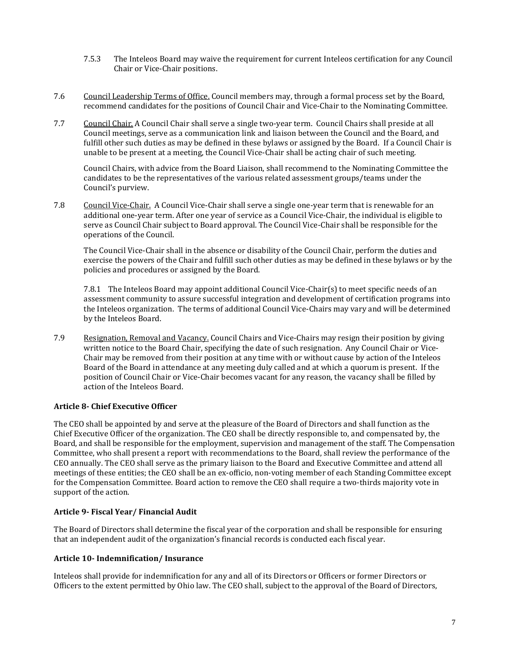- 7.5.3 The Inteleos Board may waive the requirement for current Inteleos certification for any Council Chair or Vice-Chair positions.
- 7.6 Council Leadership Terms of Office. Council members may, through a formal process set by the Board, recommend candidates for the positions of Council Chair and Vice-Chair to the Nominating Committee.
- 7.7 Council Chair. A Council Chair shall serve a single two-year term. Council Chairs shall preside at all Council meetings, serve as a communication link and liaison between the Council and the Board, and fulfill other such duties as may be defined in these bylaws or assigned by the Board. If a Council Chair is unable to be present at a meeting, the Council Vice-Chair shall be acting chair of such meeting.

Council Chairs, with advice from the Board Liaison, shall recommend to the Nominating Committee the candidates to be the representatives of the various related assessment groups/teams under the Council's purview.

7.8 Council Vice-Chair. A Council Vice-Chair shall serve a single one-year term that is renewable for an additional one-year term. After one year of service as a Council Vice-Chair, the individual is eligible to serve as Council Chair subject to Board approval. The Council Vice-Chair shall be responsible for the operations of the Council.

The Council Vice-Chair shall in the absence or disability of the Council Chair, perform the duties and exercise the powers of the Chair and fulfill such other duties as may be defined in these bylaws or by the policies and procedures or assigned by the Board.

7.8.1 The Inteleos Board may appoint additional Council Vice-Chair(s) to meet specific needs of an assessment community to assure successful integration and development of certification programs into the Inteleos organization. The terms of additional Council Vice-Chairs may vary and will be determined by the Inteleos Board.

7.9 Resignation, Removal and Vacancy. Council Chairs and Vice-Chairs may resign their position by giving written notice to the Board Chair, specifying the date of such resignation. Any Council Chair or Vice-Chair may be removed from their position at any time with or without cause by action of the Inteleos Board of the Board in attendance at any meeting duly called and at which a quorum is present. If the position of Council Chair or Vice-Chair becomes vacant for any reason, the vacancy shall be filled by action of the Inteleos Board.

## **Article 8- Chief Executive Officer**

The CEO shall be appointed by and serve at the pleasure of the Board of Directors and shall function as the Chief Executive Officer of the organization. The CEO shall be directly responsible to, and compensated by, the Board, and shall be responsible for the employment, supervision and management of the staff. The Compensation Committee, who shall present a report with recommendations to the Board, shall review the performance of the CEO annually. The CEO shall serve as the primary liaison to the Board and Executive Committee and attend all meetings of these entities; the CEO shall be an ex-officio, non-voting member of each Standing Committee except for the Compensation Committee. Board action to remove the CEO shall require a two-thirds majority vote in support of the action.

### **Article 9- Fiscal Year/ Financial Audit**

The Board of Directors shall determine the fiscal year of the corporation and shall be responsible for ensuring that an independent audit of the organization's financial records is conducted each fiscal year.

### **Article 10- Indemnification/ Insurance**

Inteleos shall provide for indemnification for any and all of its Directors or Officers or former Directors or Officers to the extent permitted by Ohio law. The CEO shall, subject to the approval of the Board of Directors,